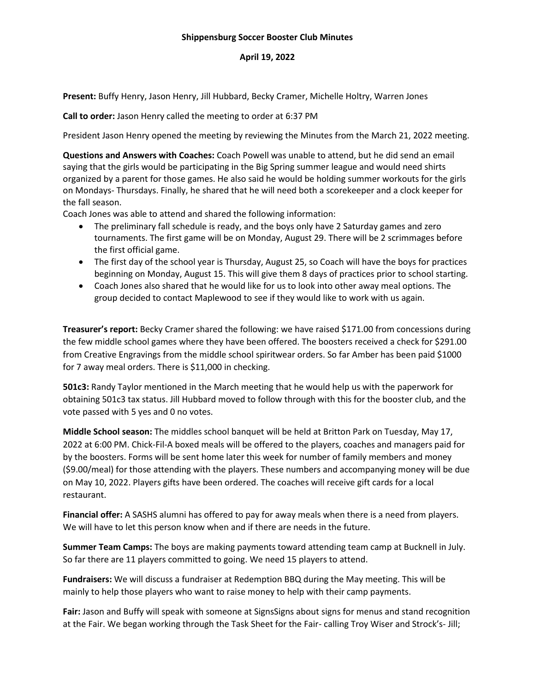## **Shippensburg Soccer Booster Club Minutes**

## **April 19, 2022**

**Present:** Buffy Henry, Jason Henry, Jill Hubbard, Becky Cramer, Michelle Holtry, Warren Jones

**Call to order:** Jason Henry called the meeting to order at 6:37 PM

President Jason Henry opened the meeting by reviewing the Minutes from the March 21, 2022 meeting.

**Questions and Answers with Coaches:** Coach Powell was unable to attend, but he did send an email saying that the girls would be participating in the Big Spring summer league and would need shirts organized by a parent for those games. He also said he would be holding summer workouts for the girls on Mondays- Thursdays. Finally, he shared that he will need both a scorekeeper and a clock keeper for the fall season.

Coach Jones was able to attend and shared the following information:

- The preliminary fall schedule is ready, and the boys only have 2 Saturday games and zero tournaments. The first game will be on Monday, August 29. There will be 2 scrimmages before the first official game.
- The first day of the school year is Thursday, August 25, so Coach will have the boys for practices beginning on Monday, August 15. This will give them 8 days of practices prior to school starting.
- Coach Jones also shared that he would like for us to look into other away meal options. The group decided to contact Maplewood to see if they would like to work with us again.

**Treasurer's report:** Becky Cramer shared the following: we have raised \$171.00 from concessions during the few middle school games where they have been offered. The boosters received a check for \$291.00 from Creative Engravings from the middle school spiritwear orders. So far Amber has been paid \$1000 for 7 away meal orders. There is \$11,000 in checking.

**501c3:** Randy Taylor mentioned in the March meeting that he would help us with the paperwork for obtaining 501c3 tax status. Jill Hubbard moved to follow through with this for the booster club, and the vote passed with 5 yes and 0 no votes.

**Middle School season:** The middles school banquet will be held at Britton Park on Tuesday, May 17, 2022 at 6:00 PM. Chick-Fil-A boxed meals will be offered to the players, coaches and managers paid for by the boosters. Forms will be sent home later this week for number of family members and money (\$9.00/meal) for those attending with the players. These numbers and accompanying money will be due on May 10, 2022. Players gifts have been ordered. The coaches will receive gift cards for a local restaurant.

**Financial offer:** A SASHS alumni has offered to pay for away meals when there is a need from players. We will have to let this person know when and if there are needs in the future.

**Summer Team Camps:** The boys are making payments toward attending team camp at Bucknell in July. So far there are 11 players committed to going. We need 15 players to attend.

**Fundraisers:** We will discuss a fundraiser at Redemption BBQ during the May meeting. This will be mainly to help those players who want to raise money to help with their camp payments.

**Fair:** Jason and Buffy will speak with someone at SignsSigns about signs for menus and stand recognition at the Fair. We began working through the Task Sheet for the Fair- calling Troy Wiser and Strock's- Jill;